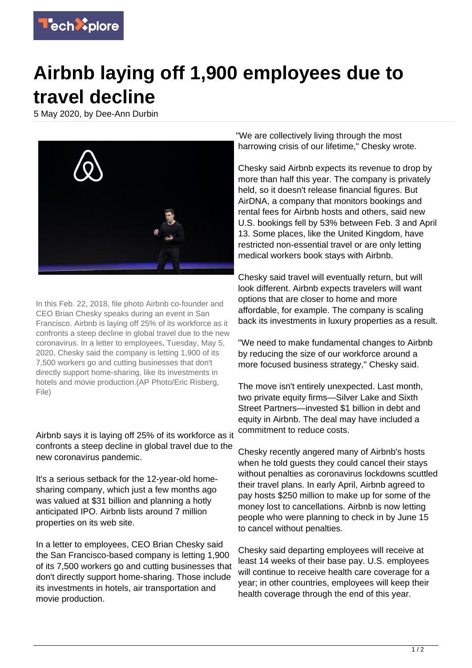

## **Airbnb laying off 1,900 employees due to travel decline**

5 May 2020, by Dee-Ann Durbin



In this Feb. 22, 2018, file photo Airbnb co-founder and CEO Brian Chesky speaks during an event in San Francisco. Airbnb is laying off 25% of its workforce as it confronts a steep decline in global travel due to the new coronavirus. In a letter to employees, Tuesday, May 5, 2020, Chesky said the company is letting 1,900 of its 7,500 workers go and cutting businesses that don't directly support home-sharing, like its investments in hotels and movie production.(AP Photo/Eric Risberg, File)

Airbnb says it is laying off 25% of its workforce as it confronts a steep decline in global travel due to the new coronavirus pandemic.

It's a serious setback for the 12-year-old homesharing company, which just a few months ago was valued at \$31 billion and planning a hotly anticipated IPO. Airbnb lists around 7 million properties on its web site.

In a letter to employees, CEO Brian Chesky said the San Francisco-based company is letting 1,900 of its 7,500 workers go and cutting businesses that don't directly support home-sharing. Those include its investments in hotels, air transportation and movie production.

"We are collectively living through the most harrowing crisis of our lifetime," Chesky wrote.

Chesky said Airbnb expects its revenue to drop by more than half this year. The company is privately held, so it doesn't release financial figures. But AirDNA, a company that monitors bookings and rental fees for Airbnb hosts and others, said new U.S. bookings fell by 53% between Feb. 3 and April 13. Some places, like the United Kingdom, have restricted non-essential travel or are only letting medical workers book stays with Airbnb.

Chesky said travel will eventually return, but will look different. Airbnb expects travelers will want options that are closer to home and more affordable, for example. The company is scaling back its investments in luxury properties as a result.

"We need to make fundamental changes to Airbnb by reducing the size of our workforce around a more focused business strategy," Chesky said.

The move isn't entirely unexpected. Last month, two private equity firms—Silver Lake and Sixth Street Partners—invested \$1 billion in debt and equity in Airbnb. The deal may have included a commitment to reduce costs.

Chesky recently angered many of Airbnb's hosts when he told guests they could cancel their stays without penalties as coronavirus lockdowns scuttled their travel plans. In early April, Airbnb agreed to pay hosts \$250 million to make up for some of the money lost to cancellations. Airbnb is now letting people who were planning to check in by June 15 to cancel without penalties.

Chesky said departing employees will receive at least 14 weeks of their base pay. U.S. employees will continue to receive health care coverage for a year; in other countries, employees will keep their health coverage through the end of this year.